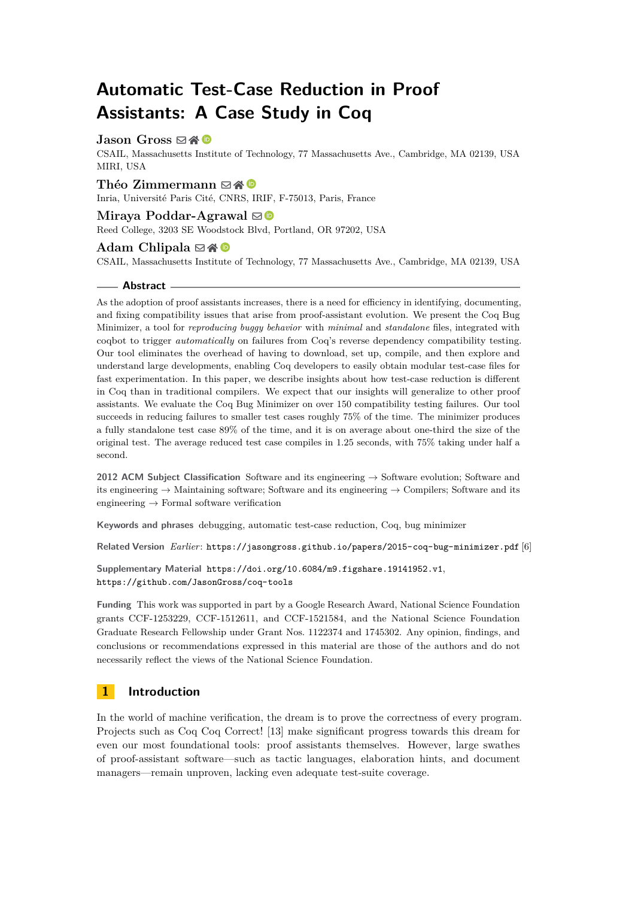# **Automatic Test-Case Reduction in Proof Assistants: A Case Study in Coq**

# **Jason Gross ⊠合**

CSAIL, Massachusetts Institute of Technology, 77 Massachusetts Ave., Cambridge, MA 02139, USA MIRI, USA

#### Théo Zimmermann ⊠**企**

Inria, Université Paris Cité, CNRS, IRIF, F-75013, Paris, France

#### **Miraya Poddar-Agrawal**

Reed College, 3203 SE Woodstock Blvd, Portland, OR 97202, USA

#### **Adam Chlipala** ⊠\*<sup>●</sup>

CSAIL, Massachusetts Institute of Technology, 77 Massachusetts Ave., Cambridge, MA 02139, USA

#### **Abstract**

As the adoption of proof assistants increases, there is a need for efficiency in identifying, documenting, and fixing compatibility issues that arise from proof-assistant evolution. We present the Coq Bug Minimizer, a tool for *reproducing buggy behavior* with *minimal* and *standalone* files, integrated with coqbot to trigger *automatically* on failures from Coq's reverse dependency compatibility testing. Our tool eliminates the overhead of having to download, set up, compile, and then explore and understand large developments, enabling Coq developers to easily obtain modular test-case files for fast experimentation. In this paper, we describe insights about how test-case reduction is different in Coq than in traditional compilers. We expect that our insights will generalize to other proof assistants. We evaluate the Coq Bug Minimizer on over 150 compatibility testing failures. Our tool succeeds in reducing failures to smaller test cases roughly 75% of the time. The minimizer produces a fully standalone test case 89% of the time, and it is on average about one-third the size of the original test. The average reduced test case compiles in 1.25 seconds, with 75% taking under half a second.

**2012 ACM Subject Classification** Software and its engineering → Software evolution; Software and its engineering  $\rightarrow$  Maintaining software; Software and its engineering  $\rightarrow$  Compilers; Software and its engineering  $\rightarrow$  Formal software verification

**Keywords and phrases** debugging, automatic test-case reduction, Coq, bug minimizer

**Related Version** *Earlier*: <https://jasongross.github.io/papers/2015-coq-bug-minimizer.pdf> [\[6\]](#page-16-0)

**Supplementary Material** <https://doi.org/10.6084/m9.figshare.19141952.v1>, <https://github.com/JasonGross/coq-tools>

**Funding** This work was supported in part by a Google Research Award, National Science Foundation grants CCF-1253229, CCF-1512611, and CCF-1521584, and the National Science Foundation Graduate Research Fellowship under Grant Nos. 1122374 and 1745302. Any opinion, findings, and conclusions or recommendations expressed in this material are those of the authors and do not necessarily reflect the views of the National Science Foundation.

# **1 Introduction**

In the world of machine verification, the dream is to prove the correctness of every program. Projects such as Coq Coq Correct! [\[13\]](#page-17-0) make significant progress towards this dream for even our most foundational tools: proof assistants themselves. However, large swathes of proof-assistant software—such as tactic languages, elaboration hints, and document managers—remain unproven, lacking even adequate test-suite coverage.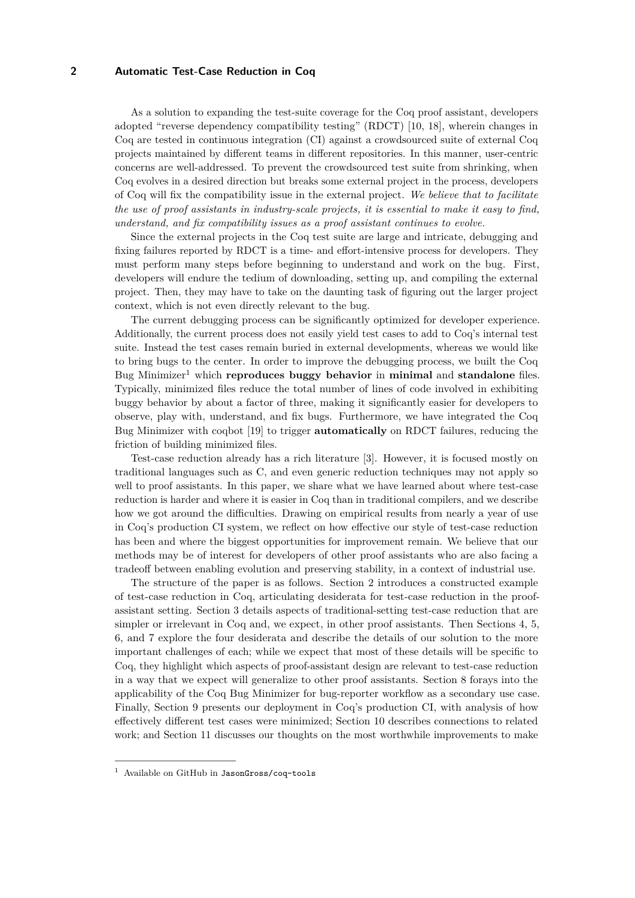As a solution to expanding the test-suite coverage for the Coq proof assistant, developers adopted "reverse dependency compatibility testing" (RDCT) [\[10,](#page-16-1) [18\]](#page-17-1), wherein changes in Coq are tested in continuous integration (CI) against a crowdsourced suite of external Coq projects maintained by different teams in different repositories. In this manner, user-centric concerns are well-addressed. To prevent the crowdsourced test suite from shrinking, when Coq evolves in a desired direction but breaks some external project in the process, developers of Coq will fix the compatibility issue in the external project. *We believe that to facilitate the use of proof assistants in industry-scale projects, it is essential to make it easy to find, understand, and fix compatibility issues as a proof assistant continues to evolve.*

Since the external projects in the Coq test suite are large and intricate, debugging and fixing failures reported by RDCT is a time- and effort-intensive process for developers. They must perform many steps before beginning to understand and work on the bug. First, developers will endure the tedium of downloading, setting up, and compiling the external project. Then, they may have to take on the daunting task of figuring out the larger project context, which is not even directly relevant to the bug.

The current debugging process can be significantly optimized for developer experience. Additionally, the current process does not easily yield test cases to add to Coq's internal test suite. Instead the test cases remain buried in external developments, whereas we would like to bring bugs to the center. In order to improve the debugging process, we built the Coq Bug Minimizer[1](#page-1-0) which **reproduces buggy behavior** in **minimal** and **standalone** files. Typically, minimized files reduce the total number of lines of code involved in exhibiting buggy behavior by about a factor of three, making it significantly easier for developers to observe, play with, understand, and fix bugs. Furthermore, we have integrated the Coq Bug Minimizer with coqbot [\[19\]](#page-17-2) to trigger **automatically** on RDCT failures, reducing the friction of building minimized files.

Test-case reduction already has a rich literature [\[3\]](#page-16-2). However, it is focused mostly on traditional languages such as C, and even generic reduction techniques may not apply so well to proof assistants. In this paper, we share what we have learned about where test-case reduction is harder and where it is easier in Coq than in traditional compilers, and we describe how we got around the difficulties. Drawing on empirical results from nearly a year of use in Coq's production CI system, we reflect on how effective our style of test-case reduction has been and where the biggest opportunities for improvement remain. We believe that our methods may be of interest for developers of other proof assistants who are also facing a tradeoff between enabling evolution and preserving stability, in a context of industrial use.

The structure of the paper is as follows. [Section 2](#page-2-0) introduces a constructed example of test-case reduction in Coq, articulating desiderata for test-case reduction in the proofassistant setting. [Section 3](#page-3-0) details aspects of traditional-setting test-case reduction that are simpler or irrelevant in Coq and, we expect, in other proof assistants. Then Sections [4,](#page-3-1) [5,](#page-4-0) [6,](#page-6-0) and [7](#page-9-0) explore the four desiderata and describe the details of our solution to the more important challenges of each; while we expect that most of these details will be specific to Coq, they highlight which aspects of proof-assistant design are relevant to test-case reduction in a way that we expect will generalize to other proof assistants. [Section 8](#page-10-0) forays into the applicability of the Coq Bug Minimizer for bug-reporter workflow as a secondary use case. Finally, [Section 9](#page-10-1) presents our deployment in Coq's production CI, with analysis of how effectively different test cases were minimized; [Section 10](#page-14-0) describes connections to related work; and [Section 11](#page-15-0) discusses our thoughts on the most worthwhile improvements to make

<span id="page-1-0"></span> $<sup>1</sup>$  Available on GitHub in [JasonGross/coq-tools](https://github.com/JasonGross/coq-tools)</sup>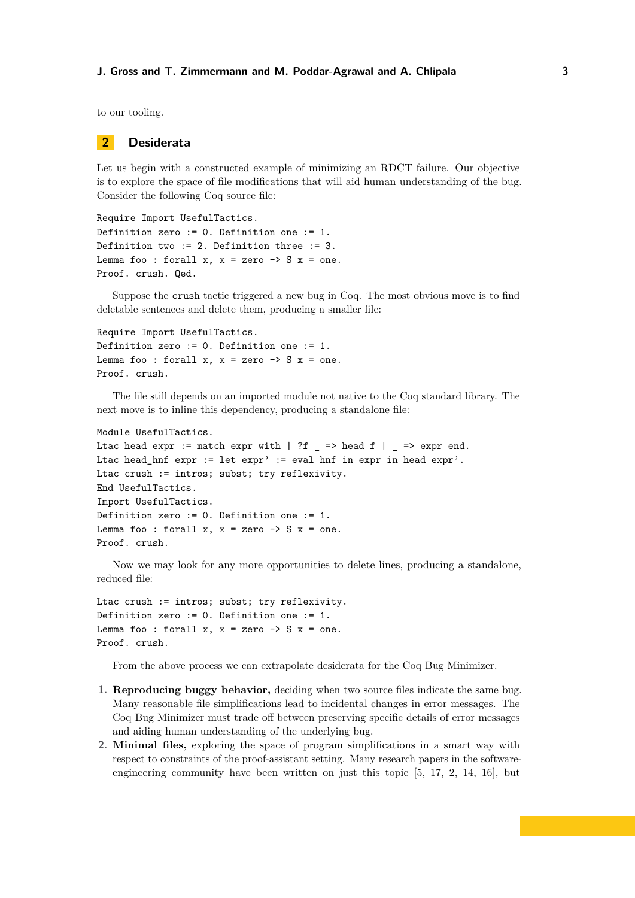to our tooling.

## <span id="page-2-0"></span>**2 Desiderata**

Let us begin with a constructed example of minimizing an RDCT failure. Our objective is to explore the space of file modifications that will aid human understanding of the bug. Consider the following Coq source file:

```
Require Import UsefulTactics.
Definition zero := 0. Definition one := 1.
Definition two := 2. Definition three := 3.
Lemma foo : forall x, x = zero \rightarrow S x = one.
Proof. crush. Qed.
```
Suppose the crush tactic triggered a new bug in Coq. The most obvious move is to find deletable sentences and delete them, producing a smaller file:

```
Require Import UsefulTactics.
Definition zero := 0. Definition one := 1.
Lemma foo : forall x, x = zero \rightarrow S x = one.
Proof. crush.
```
The file still depends on an imported module not native to the Coq standard library. The next move is to inline this dependency, producing a standalone file:

```
Module UsefulTactics.
```

```
Ltac head expr := match expr with | ?f _ => head f | _ => expr end.
Ltac head_hnf expr := let expr' := eval hnf in expr in head expr'.
Ltac crush := intros; subst; try reflexivity.
End UsefulTactics.
Import UsefulTactics.
Definition zero := 0. Definition one := 1.
Lemma foo : forall x, x = zero \rightarrow S x = one.
Proof. crush.
```
Now we may look for any more opportunities to delete lines, producing a standalone, reduced file:

```
Ltac crush := intros; subst; try reflexivity.
Definition zero := 0. Definition one := 1.
Lemma foo : forall x, x = zero \rightarrow S x = one.
Proof. crush.
```
From the above process we can extrapolate desiderata for the Coq Bug Minimizer.

- **1. Reproducing buggy behavior,** deciding when two source files indicate the same bug. Many reasonable file simplifications lead to incidental changes in error messages. The Coq Bug Minimizer must trade off between preserving specific details of error messages and aiding human understanding of the underlying bug.
- **2. Minimal files,** exploring the space of program simplifications in a smart way with respect to constraints of the proof-assistant setting. Many research papers in the softwareengineering community have been written on just this topic [\[5,](#page-16-3) [17,](#page-17-3) [2,](#page-16-4) [14,](#page-17-4) [16\]](#page-17-5), but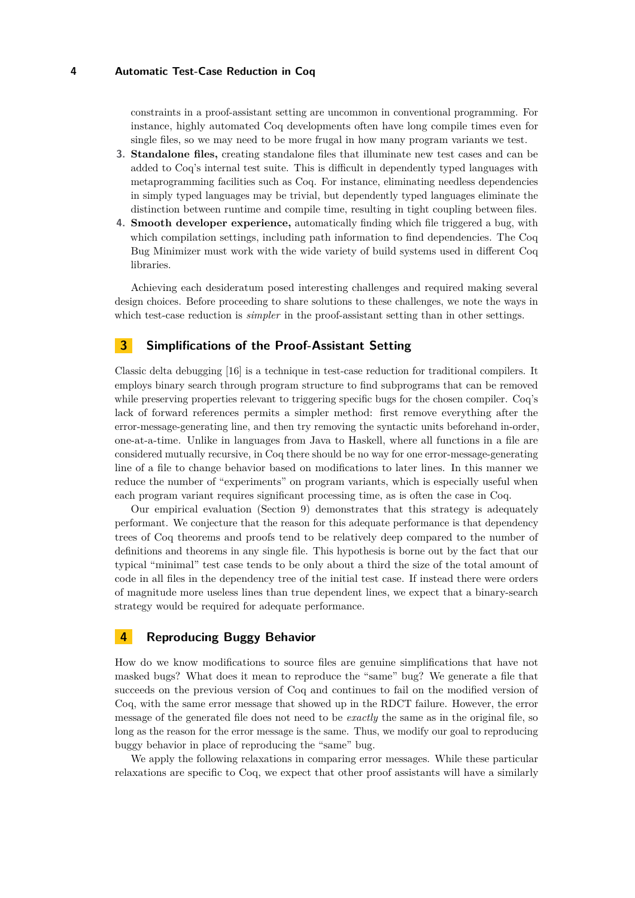constraints in a proof-assistant setting are uncommon in conventional programming. For instance, highly automated Coq developments often have long compile times even for single files, so we may need to be more frugal in how many program variants we test.

- **3. Standalone files,** creating standalone files that illuminate new test cases and can be added to Coq's internal test suite. This is difficult in dependently typed languages with metaprogramming facilities such as Coq. For instance, eliminating needless dependencies in simply typed languages may be trivial, but dependently typed languages eliminate the distinction between runtime and compile time, resulting in tight coupling between files.
- **4. Smooth developer experience,** automatically finding which file triggered a bug, with which compilation settings, including path information to find dependencies. The Coq Bug Minimizer must work with the wide variety of build systems used in different Coq libraries.

Achieving each desideratum posed interesting challenges and required making several design choices. Before proceeding to share solutions to these challenges, we note the ways in which test-case reduction is *simpler* in the proof-assistant setting than in other settings.

# <span id="page-3-0"></span>**3 Simplifications of the Proof-Assistant Setting**

Classic delta debugging [\[16\]](#page-17-5) is a technique in test-case reduction for traditional compilers. It employs binary search through program structure to find subprograms that can be removed while preserving properties relevant to triggering specific bugs for the chosen compiler. Coq's lack of forward references permits a simpler method: first remove everything after the error-message-generating line, and then try removing the syntactic units beforehand in-order, one-at-a-time. Unlike in languages from Java to Haskell, where all functions in a file are considered mutually recursive, in Coq there should be no way for one error-message-generating line of a file to change behavior based on modifications to later lines. In this manner we reduce the number of "experiments" on program variants, which is especially useful when each program variant requires significant processing time, as is often the case in Coq.

Our empirical evaluation [\(Section 9\)](#page-10-1) demonstrates that this strategy is adequately performant. We conjecture that the reason for this adequate performance is that dependency trees of Coq theorems and proofs tend to be relatively deep compared to the number of definitions and theorems in any single file. This hypothesis is borne out by the fact that our typical "minimal" test case tends to be only about a third the size of the total amount of code in all files in the dependency tree of the initial test case. If instead there were orders of magnitude more useless lines than true dependent lines, we expect that a binary-search strategy would be required for adequate performance.

# <span id="page-3-1"></span>**4 Reproducing Buggy Behavior**

How do we know modifications to source files are genuine simplifications that have not masked bugs? What does it mean to reproduce the "same" bug? We generate a file that succeeds on the previous version of Coq and continues to fail on the modified version of Coq, with the same error message that showed up in the RDCT failure. However, the error message of the generated file does not need to be *exactly* the same as in the original file, so long as the reason for the error message is the same. Thus, we modify our goal to reproducing buggy behavior in place of reproducing the "same" bug.

We apply the following relaxations in comparing error messages. While these particular relaxations are specific to Coq, we expect that other proof assistants will have a similarly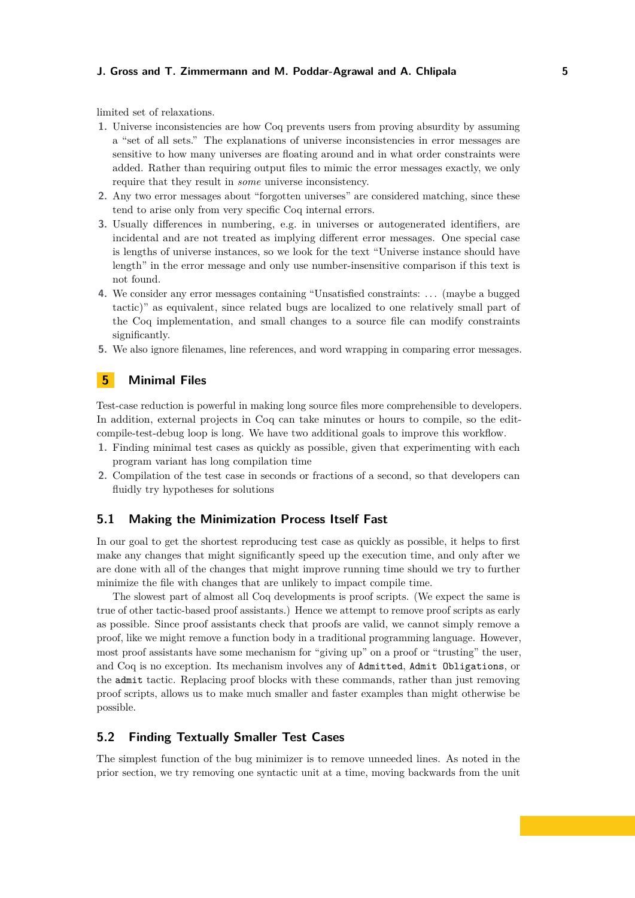limited set of relaxations.

- **1.** Universe inconsistencies are how Coq prevents users from proving absurdity by assuming a "set of all sets." The explanations of universe inconsistencies in error messages are sensitive to how many universes are floating around and in what order constraints were added. Rather than requiring output files to mimic the error messages exactly, we only require that they result in *some* universe inconsistency.
- **2.** Any two error messages about "forgotten universes" are considered matching, since these tend to arise only from very specific Coq internal errors.
- **3.** Usually differences in numbering, e.g. in universes or autogenerated identifiers, are incidental and are not treated as implying different error messages. One special case is lengths of universe instances, so we look for the text "Universe instance should have length" in the error message and only use number-insensitive comparison if this text is not found.
- **4.** We consider any error messages containing "Unsatisfied constraints: . . . (maybe a bugged tactic)" as equivalent, since related bugs are localized to one relatively small part of the Coq implementation, and small changes to a source file can modify constraints significantly.
- **5.** We also ignore filenames, line references, and word wrapping in comparing error messages.

# <span id="page-4-0"></span>**5 Minimal Files**

Test-case reduction is powerful in making long source files more comprehensible to developers. In addition, external projects in Coq can take minutes or hours to compile, so the editcompile-test-debug loop is long. We have two additional goals to improve this workflow.

- **1.** Finding minimal test cases as quickly as possible, given that experimenting with each program variant has long compilation time
- **2.** Compilation of the test case in seconds or fractions of a second, so that developers can fluidly try hypotheses for solutions

## **5.1 Making the Minimization Process Itself Fast**

In our goal to get the shortest reproducing test case as quickly as possible, it helps to first make any changes that might significantly speed up the execution time, and only after we are done with all of the changes that might improve running time should we try to further minimize the file with changes that are unlikely to impact compile time.

The slowest part of almost all Coq developments is proof scripts. (We expect the same is true of other tactic-based proof assistants.) Hence we attempt to remove proof scripts as early as possible. Since proof assistants check that proofs are valid, we cannot simply remove a proof, like we might remove a function body in a traditional programming language. However, most proof assistants have some mechanism for "giving up" on a proof or "trusting" the user, and Coq is no exception. Its mechanism involves any of Admitted, Admit Obligations, or the admit tactic. Replacing proof blocks with these commands, rather than just removing proof scripts, allows us to make much smaller and faster examples than might otherwise be possible.

## **5.2 Finding Textually Smaller Test Cases**

The simplest function of the bug minimizer is to remove unneeded lines. As noted in the prior section, we try removing one syntactic unit at a time, moving backwards from the unit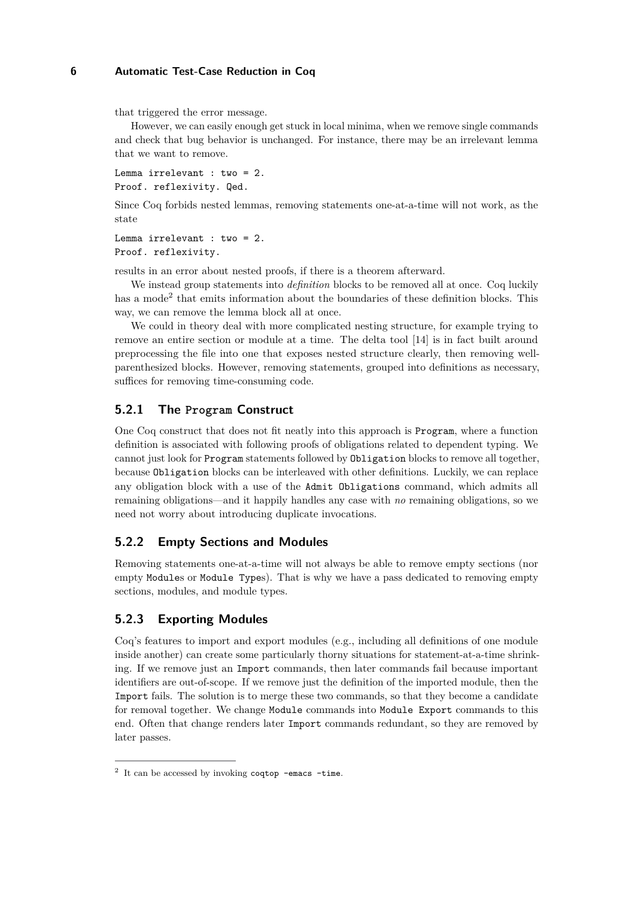that triggered the error message.

However, we can easily enough get stuck in local minima, when we remove single commands and check that bug behavior is unchanged. For instance, there may be an irrelevant lemma that we want to remove.

Lemma irrelevant : two = 2. Proof. reflexivity. Qed.

Since Coq forbids nested lemmas, removing statements one-at-a-time will not work, as the state

```
Lemma irrelevant : two = 2.
Proof. reflexivity.
```
results in an error about nested proofs, if there is a theorem afterward.

We instead group statements into *definition* blocks to be removed all at once. Coq luckily has a mode<sup>[2](#page-5-0)</sup> that emits information about the boundaries of these definition blocks. This way, we can remove the lemma block all at once.

We could in theory deal with more complicated nesting structure, for example trying to remove an entire section or module at a time. The delta tool [\[14\]](#page-17-4) is in fact built around preprocessing the file into one that exposes nested structure clearly, then removing wellparenthesized blocks. However, removing statements, grouped into definitions as necessary, suffices for removing time-consuming code.

# **5.2.1 The Program Construct**

One Coq construct that does not fit neatly into this approach is Program, where a function definition is associated with following proofs of obligations related to dependent typing. We cannot just look for Program statements followed by Obligation blocks to remove all together, because Obligation blocks can be interleaved with other definitions. Luckily, we can replace any obligation block with a use of the Admit Obligations command, which admits all remaining obligations—and it happily handles any case with *no* remaining obligations, so we need not worry about introducing duplicate invocations.

## **5.2.2 Empty Sections and Modules**

Removing statements one-at-a-time will not always be able to remove empty sections (nor empty Modules or Module Types). That is why we have a pass dedicated to removing empty sections, modules, and module types.

# **5.2.3 Exporting Modules**

Coq's features to import and export modules (e.g., including all definitions of one module inside another) can create some particularly thorny situations for statement-at-a-time shrinking. If we remove just an Import commands, then later commands fail because important identifiers are out-of-scope. If we remove just the definition of the imported module, then the Import fails. The solution is to merge these two commands, so that they become a candidate for removal together. We change Module commands into Module Export commands to this end. Often that change renders later Import commands redundant, so they are removed by later passes.

<span id="page-5-0"></span> $2$  It can be accessed by invoking coqtop -emacs -time.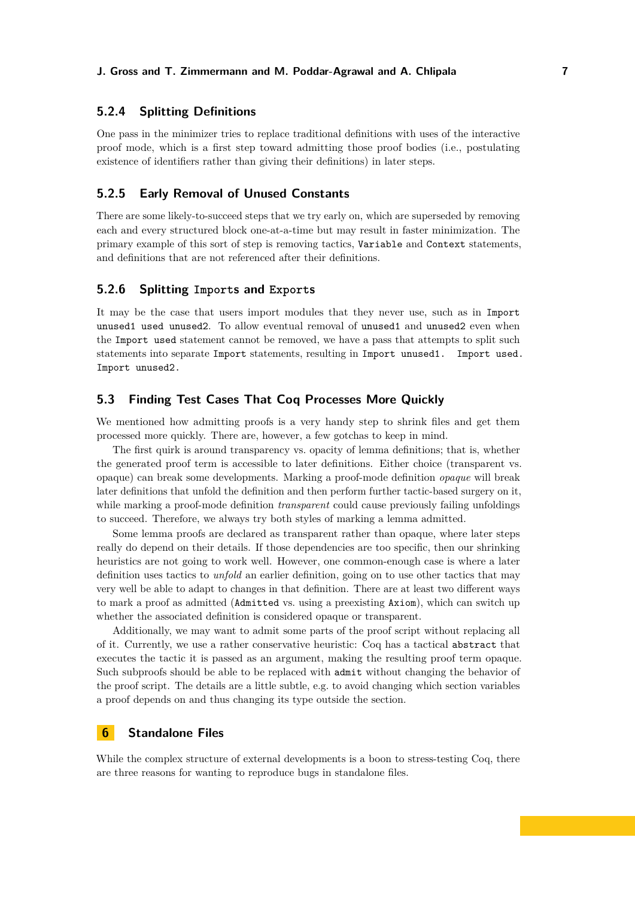# **5.2.4 Splitting Definitions**

One pass in the minimizer tries to replace traditional definitions with uses of the interactive proof mode, which is a first step toward admitting those proof bodies (i.e., postulating existence of identifiers rather than giving their definitions) in later steps.

## **5.2.5 Early Removal of Unused Constants**

There are some likely-to-succeed steps that we try early on, which are superseded by removing each and every structured block one-at-a-time but may result in faster minimization. The primary example of this sort of step is removing tactics, Variable and Context statements, and definitions that are not referenced after their definitions.

## <span id="page-6-1"></span>**5.2.6 Splitting Imports and Exports**

It may be the case that users import modules that they never use, such as in Import unused1 used unused2. To allow eventual removal of unused1 and unused2 even when the Import used statement cannot be removed, we have a pass that attempts to split such statements into separate Import statements, resulting in Import unused1. Import used. Import unused2.

## **5.3 Finding Test Cases That Coq Processes More Quickly**

We mentioned how admitting proofs is a very handy step to shrink files and get them processed more quickly. There are, however, a few gotchas to keep in mind.

The first quirk is around transparency vs. opacity of lemma definitions; that is, whether the generated proof term is accessible to later definitions. Either choice (transparent vs. opaque) can break some developments. Marking a proof-mode definition *opaque* will break later definitions that unfold the definition and then perform further tactic-based surgery on it, while marking a proof-mode definition *transparent* could cause previously failing unfoldings to succeed. Therefore, we always try both styles of marking a lemma admitted.

Some lemma proofs are declared as transparent rather than opaque, where later steps really do depend on their details. If those dependencies are too specific, then our shrinking heuristics are not going to work well. However, one common-enough case is where a later definition uses tactics to *unfold* an earlier definition, going on to use other tactics that may very well be able to adapt to changes in that definition. There are at least two different ways to mark a proof as admitted (Admitted vs. using a preexisting Axiom), which can switch up whether the associated definition is considered opaque or transparent.

Additionally, we may want to admit some parts of the proof script without replacing all of it. Currently, we use a rather conservative heuristic: Coq has a tactical abstract that executes the tactic it is passed as an argument, making the resulting proof term opaque. Such subproofs should be able to be replaced with admit without changing the behavior of the proof script. The details are a little subtle, e.g. to avoid changing which section variables a proof depends on and thus changing its type outside the section.

# <span id="page-6-0"></span>**6 Standalone Files**

While the complex structure of external developments is a boon to stress-testing Coq, there are three reasons for wanting to reproduce bugs in standalone files.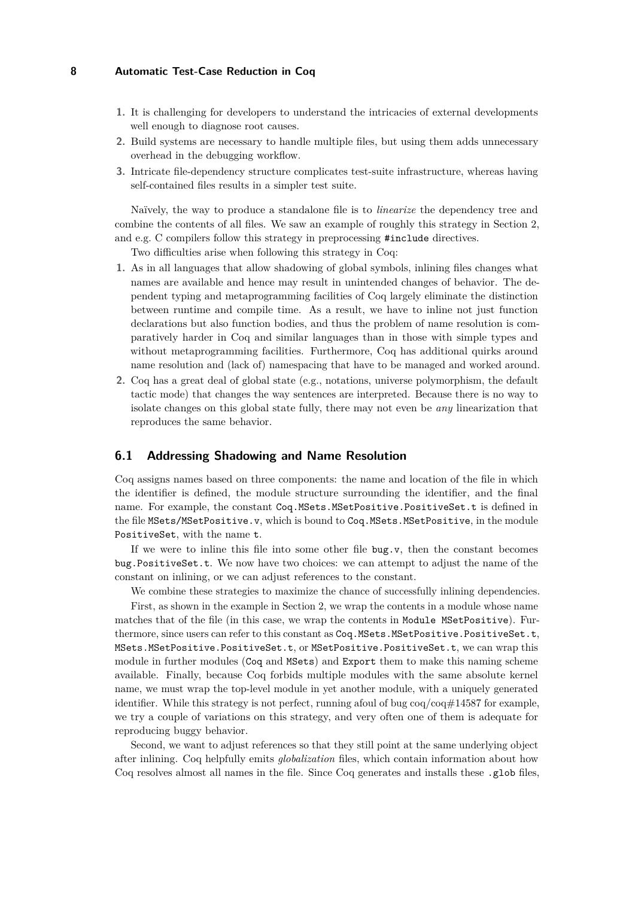- **1.** It is challenging for developers to understand the intricacies of external developments well enough to diagnose root causes.
- **2.** Build systems are necessary to handle multiple files, but using them adds unnecessary overhead in the debugging workflow.
- **3.** Intricate file-dependency structure complicates test-suite infrastructure, whereas having self-contained files results in a simpler test suite.

Naïvely, the way to produce a standalone file is to *linearize* the dependency tree and combine the contents of all files. We saw an example of roughly this strategy in [Section 2,](#page-2-0) and e.g. C compilers follow this strategy in preprocessing #include directives.

Two difficulties arise when following this strategy in Coq:

- **1.** As in all languages that allow shadowing of global symbols, inlining files changes what names are available and hence may result in unintended changes of behavior. The dependent typing and metaprogramming facilities of Coq largely eliminate the distinction between runtime and compile time. As a result, we have to inline not just function declarations but also function bodies, and thus the problem of name resolution is comparatively harder in Coq and similar languages than in those with simple types and without metaprogramming facilities. Furthermore, Coq has additional quirks around name resolution and (lack of) namespacing that have to be managed and worked around.
- **2.** Coq has a great deal of global state (e.g., notations, universe polymorphism, the default tactic mode) that changes the way sentences are interpreted. Because there is no way to isolate changes on this global state fully, there may not even be *any* linearization that reproduces the same behavior.

## <span id="page-7-0"></span>**6.1 Addressing Shadowing and Name Resolution**

Coq assigns names based on three components: the name and location of the file in which the identifier is defined, the module structure surrounding the identifier, and the final name. For example, the constant Coq.MSets.MSetPositive.PositiveSet.t is defined in the file MSets/MSetPositive.v, which is bound to Coq.MSets.MSetPositive, in the module PositiveSet, with the name t.

If we were to inline this file into some other file bug.v, then the constant becomes bug.PositiveSet.t. We now have two choices: we can attempt to adjust the name of the constant on inlining, or we can adjust references to the constant.

We combine these strategies to maximize the chance of successfully inlining dependencies. First, as shown in the example in [Section 2,](#page-2-0) we wrap the contents in a module whose name matches that of the file (in this case, we wrap the contents in Module MSetPositive). Furthermore, since users can refer to this constant as Coq.MSets.MSetPositive.PositiveSet.t, MSets.MSetPositive.PositiveSet.t, or MSetPositive.PositiveSet.t, we can wrap this module in further modules (Coq and MSets) and Export them to make this naming scheme available. Finally, because Coq forbids multiple modules with the same absolute kernel name, we must wrap the top-level module in yet another module, with a uniquely generated identifier. While this strategy is not perfect, running afoul of bug  $\cos/\cos\#14587$  for example, we try a couple of variations on this strategy, and very often one of them is adequate for reproducing buggy behavior.

Second, we want to adjust references so that they still point at the same underlying object after inlining. Coq helpfully emits *globalization* files, which contain information about how Coq resolves almost all names in the file. Since Coq generates and installs these .glob files,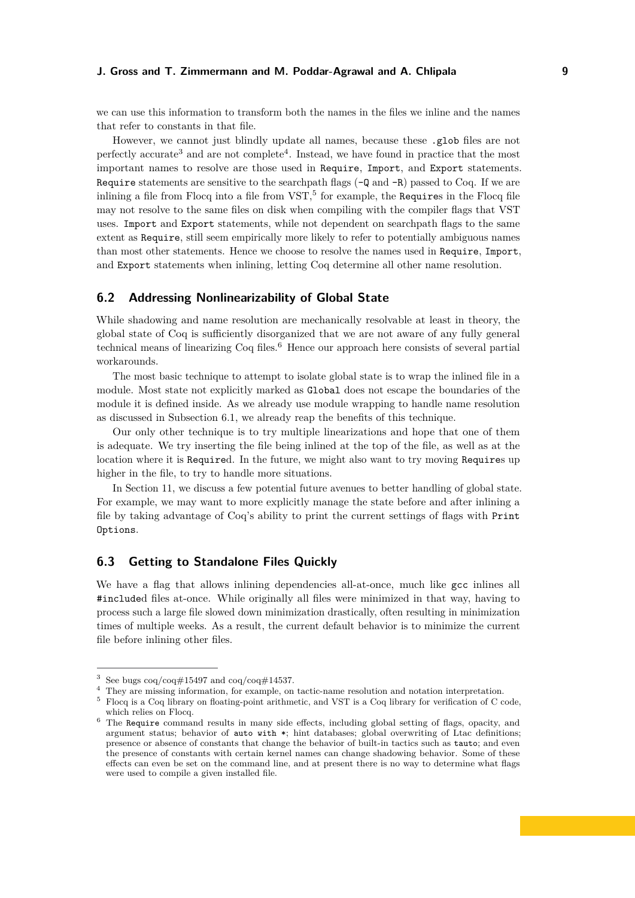we can use this information to transform both the names in the files we inline and the names that refer to constants in that file.

However, we cannot just blindly update all names, because these .glob files are not perfectly accurate<sup>[3](#page-8-0)</sup> and are not complete<sup>[4](#page-8-1)</sup>. Instead, we have found in practice that the most important names to resolve are those used in Require, Import, and Export statements. Require statements are sensitive to the searchpath flags  $(-Q \text{ and } -R)$  passed to Coq. If we are inlining a file from Flocq into a file from  $VST$ ,<sup>[5](#page-8-2)</sup> for example, the Requires in the Flocq file may not resolve to the same files on disk when compiling with the compiler flags that VST uses. Import and Export statements, while not dependent on searchpath flags to the same extent as Require, still seem empirically more likely to refer to potentially ambiguous names than most other statements. Hence we choose to resolve the names used in Require, Import, and Export statements when inlining, letting Coq determine all other name resolution.

# <span id="page-8-4"></span>**6.2 Addressing Nonlinearizability of Global State**

While shadowing and name resolution are mechanically resolvable at least in theory, the global state of Coq is sufficiently disorganized that we are not aware of any fully general technical means of linearizing Coq files.[6](#page-8-3) Hence our approach here consists of several partial workarounds.

The most basic technique to attempt to isolate global state is to wrap the inlined file in a module. Most state not explicitly marked as Global does not escape the boundaries of the module it is defined inside. As we already use module wrapping to handle name resolution as discussed in [Subsection 6.1,](#page-7-0) we already reap the benefits of this technique.

Our only other technique is to try multiple linearizations and hope that one of them is adequate. We try inserting the file being inlined at the top of the file, as well as at the location where it is Required. In the future, we might also want to try moving Requires up higher in the file, to try to handle more situations.

In [Section 11,](#page-15-0) we discuss a few potential future avenues to better handling of global state. For example, we may want to more explicitly manage the state before and after inlining a file by taking advantage of Coq's ability to print the current settings of flags with Print Options.

## **6.3 Getting to Standalone Files Quickly**

We have a flag that allows inlining dependencies all-at-once, much like gcc inlines all #included files at-once. While originally all files were minimized in that way, having to process such a large file slowed down minimization drastically, often resulting in minimization times of multiple weeks. As a result, the current default behavior is to minimize the current file before inlining other files.

<span id="page-8-0"></span><sup>&</sup>lt;sup>3</sup> See bugs  $\cos(\cos\#15497)$  and  $\cos(\cos\#14537)$ .

<span id="page-8-1"></span><sup>&</sup>lt;sup>4</sup> They are missing information, for example, on tactic-name resolution and notation interpretation.

<span id="page-8-2"></span> $^5\,$  Flocq is a Coq library on floating-point arithmetic, and VST is a Coq library for verification of C code, which relies on Flocq.

<span id="page-8-3"></span> $6$  The Require command results in many side effects, including global setting of flags, opacity, and argument status; behavior of auto with \*; hint databases; global overwriting of Ltac definitions; presence or absence of constants that change the behavior of built-in tactics such as tauto; and even the presence of constants with certain kernel names can change shadowing behavior. Some of these effects can even be set on the command line, and at present there is no way to determine what flags were used to compile a given installed file.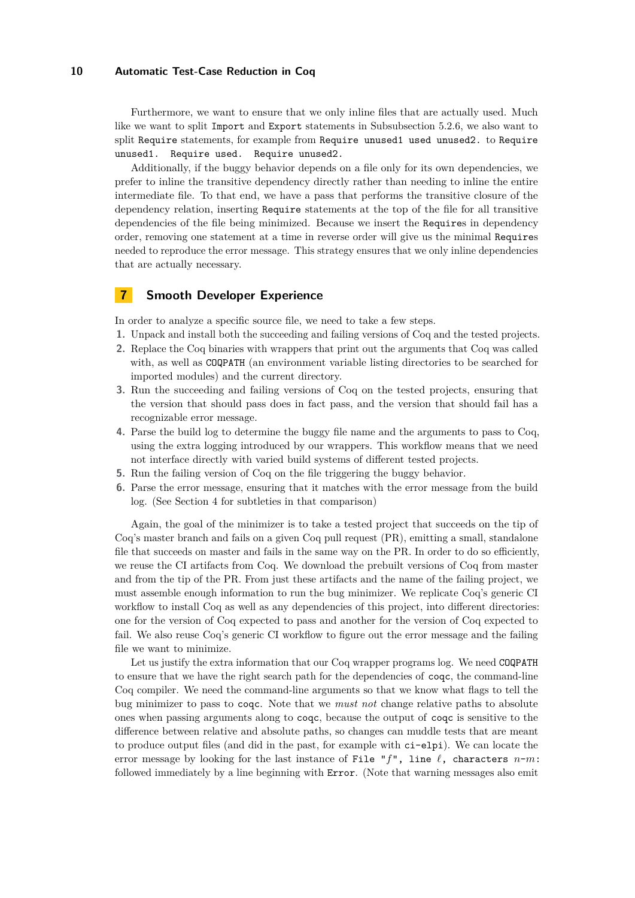Furthermore, we want to ensure that we only inline files that are actually used. Much like we want to split Import and Export statements in [Subsubsection 5.2.6,](#page-6-1) we also want to split Require statements, for example from Require unused1 used unused2. to Require unused1. Require used. Require unused2.

Additionally, if the buggy behavior depends on a file only for its own dependencies, we prefer to inline the transitive dependency directly rather than needing to inline the entire intermediate file. To that end, we have a pass that performs the transitive closure of the dependency relation, inserting Require statements at the top of the file for all transitive dependencies of the file being minimized. Because we insert the Requires in dependency order, removing one statement at a time in reverse order will give us the minimal Requires needed to reproduce the error message. This strategy ensures that we only inline dependencies that are actually necessary.

# <span id="page-9-0"></span>**7 Smooth Developer Experience**

In order to analyze a specific source file, we need to take a few steps.

- **1.** Unpack and install both the succeeding and failing versions of Coq and the tested projects.
- **2.** Replace the Coq binaries with wrappers that print out the arguments that Coq was called with, as well as COQPATH (an environment variable listing directories to be searched for imported modules) and the current directory.
- **3.** Run the succeeding and failing versions of Coq on the tested projects, ensuring that the version that should pass does in fact pass, and the version that should fail has a recognizable error message.
- **4.** Parse the build log to determine the buggy file name and the arguments to pass to Coq, using the extra logging introduced by our wrappers. This workflow means that we need not interface directly with varied build systems of different tested projects.
- **5.** Run the failing version of Coq on the file triggering the buggy behavior.
- **6.** Parse the error message, ensuring that it matches with the error message from the build log. (See [Section 4](#page-3-1) for subtleties in that comparison)

Again, the goal of the minimizer is to take a tested project that succeeds on the tip of Coq's master branch and fails on a given Coq pull request (PR), emitting a small, standalone file that succeeds on master and fails in the same way on the PR. In order to do so efficiently, we reuse the CI artifacts from Coq. We download the prebuilt versions of Coq from master and from the tip of the PR. From just these artifacts and the name of the failing project, we must assemble enough information to run the bug minimizer. We replicate Coq's generic CI workflow to install Coq as well as any dependencies of this project, into different directories: one for the version of Coq expected to pass and another for the version of Coq expected to fail. We also reuse Coq's generic CI workflow to figure out the error message and the failing file we want to minimize.

Let us justify the extra information that our Coq wrapper programs log. We need COQPATH to ensure that we have the right search path for the dependencies of coqc, the command-line Coq compiler. We need the command-line arguments so that we know what flags to tell the bug minimizer to pass to coqc. Note that we *must not* change relative paths to absolute ones when passing arguments along to coqc, because the output of coqc is sensitive to the difference between relative and absolute paths, so changes can muddle tests that are meant to produce output files (and did in the past, for example with ci-elpi). We can locate the error message by looking for the last instance of File " $f''$ , line  $\ell$ , characters  $n-m$ : followed immediately by a line beginning with Error. (Note that warning messages also emit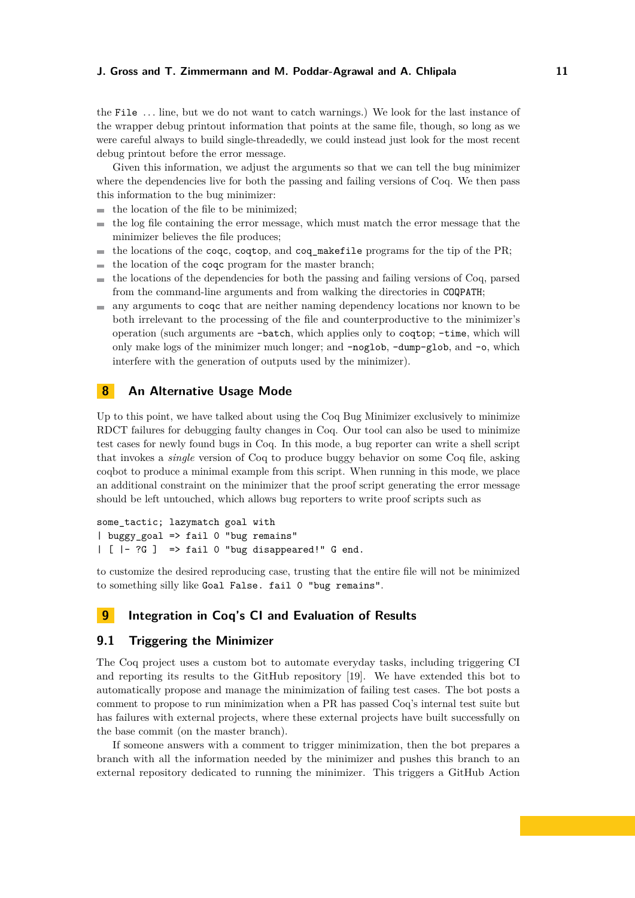the File *. . .* line, but we do not want to catch warnings.) We look for the last instance of the wrapper debug printout information that points at the same file, though, so long as we were careful always to build single-threadedly, we could instead just look for the most recent debug printout before the error message.

Given this information, we adjust the arguments so that we can tell the bug minimizer where the dependencies live for both the passing and failing versions of Coq. We then pass this information to the bug minimizer:

- the location of the file to be minimized;  $\sim$
- the log file containing the error message, which must match the error message that the  $\overline{\phantom{a}}$ minimizer believes the file produces;
- the locations of the coqc, coqtop, and coq\_makefile programs for the tip of the PR;  $\blacksquare$
- the location of the coqc program for the master branch;  $\blacksquare$
- the locations of the dependencies for both the passing and failing versions of Coq, parsed  $\sim$ from the command-line arguments and from walking the directories in COQPATH;
- any arguments to coqc that are neither naming dependency locations nor known to be both irrelevant to the processing of the file and counterproductive to the minimizer's operation (such arguments are -batch, which applies only to coqtop; -time, which will only make logs of the minimizer much longer; and -noglob, -dump-glob, and -o, which interfere with the generation of outputs used by the minimizer).

# <span id="page-10-0"></span>**8 An Alternative Usage Mode**

Up to this point, we have talked about using the Coq Bug Minimizer exclusively to minimize RDCT failures for debugging faulty changes in Coq. Our tool can also be used to minimize test cases for newly found bugs in Coq. In this mode, a bug reporter can write a shell script that invokes a *single* version of Coq to produce buggy behavior on some Coq file, asking coqbot to produce a minimal example from this script. When running in this mode, we place an additional constraint on the minimizer that the proof script generating the error message should be left untouched, which allows bug reporters to write proof scripts such as

some\_tactic; lazymatch goal with | buggy\_goal => fail 0 "bug remains" | [ |- ?G ] => fail 0 "bug disappeared!" G end.

to customize the desired reproducing case, trusting that the entire file will not be minimized to something silly like Goal False. fail 0 "bug remains".

# <span id="page-10-1"></span>**9 Integration in Coq's CI and Evaluation of Results**

# **9.1 Triggering the Minimizer**

The Coq project uses a custom bot to automate everyday tasks, including triggering CI and reporting its results to the GitHub repository [\[19\]](#page-17-2). We have extended this bot to automatically propose and manage the minimization of failing test cases. The bot posts a comment to propose to run minimization when a PR has passed Coq's internal test suite but has failures with external projects, where these external projects have built successfully on the base commit (on the master branch).

If someone answers with a comment to trigger minimization, then the bot prepares a branch with all the information needed by the minimizer and pushes this branch to an external repository dedicated to running the minimizer. This triggers a GitHub Action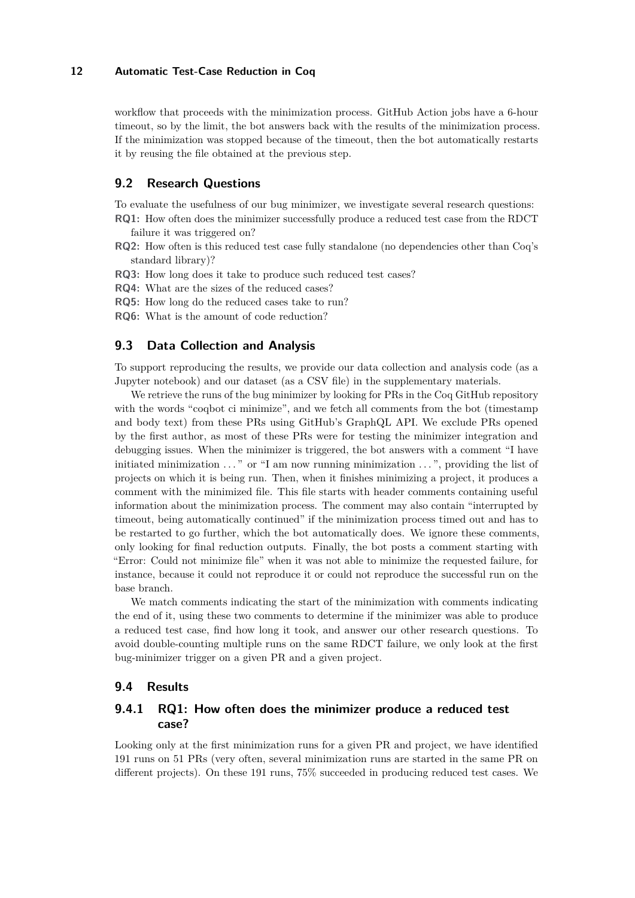workflow that proceeds with the minimization process. GitHub Action jobs have a 6-hour timeout, so by the limit, the bot answers back with the results of the minimization process. If the minimization was stopped because of the timeout, then the bot automatically restarts it by reusing the file obtained at the previous step.

# **9.2 Research Questions**

To evaluate the usefulness of our bug minimizer, we investigate several research questions: **RQ1:** How often does the minimizer successfully produce a reduced test case from the RDCT

failure it was triggered on?

- **RQ2:** How often is this reduced test case fully standalone (no dependencies other than Coq's standard library)?
- **RQ3:** How long does it take to produce such reduced test cases?

**RQ4:** What are the sizes of the reduced cases?

- **RQ5:** How long do the reduced cases take to run?
- **RQ6:** What is the amount of code reduction?

# **9.3 Data Collection and Analysis**

To support reproducing the results, we provide our data collection and analysis code (as a Jupyter notebook) and our dataset (as a CSV file) in the supplementary materials.

We retrieve the runs of the bug minimizer by looking for PRs in the Coq GitHub repository with the words "coqbot ci minimize", and we fetch all comments from the bot (timestamp and body text) from these PRs using GitHub's GraphQL API. We exclude PRs opened by the first author, as most of these PRs were for testing the minimizer integration and debugging issues. When the minimizer is triggered, the bot answers with a comment "I have initiated minimization . . . " or "I am now running minimization . . . ", providing the list of projects on which it is being run. Then, when it finishes minimizing a project, it produces a comment with the minimized file. This file starts with header comments containing useful information about the minimization process. The comment may also contain "interrupted by timeout, being automatically continued" if the minimization process timed out and has to be restarted to go further, which the bot automatically does. We ignore these comments, only looking for final reduction outputs. Finally, the bot posts a comment starting with "Error: Could not minimize file" when it was not able to minimize the requested failure, for instance, because it could not reproduce it or could not reproduce the successful run on the base branch.

We match comments indicating the start of the minimization with comments indicating the end of it, using these two comments to determine if the minimizer was able to produce a reduced test case, find how long it took, and answer our other research questions. To avoid double-counting multiple runs on the same RDCT failure, we only look at the first bug-minimizer trigger on a given PR and a given project.

## **9.4 Results**

# **9.4.1 RQ1: How often does the minimizer produce a reduced test case?**

Looking only at the first minimization runs for a given PR and project, we have identified 191 runs on 51 PRs (very often, several minimization runs are started in the same PR on different projects). On these 191 runs, 75% succeeded in producing reduced test cases. We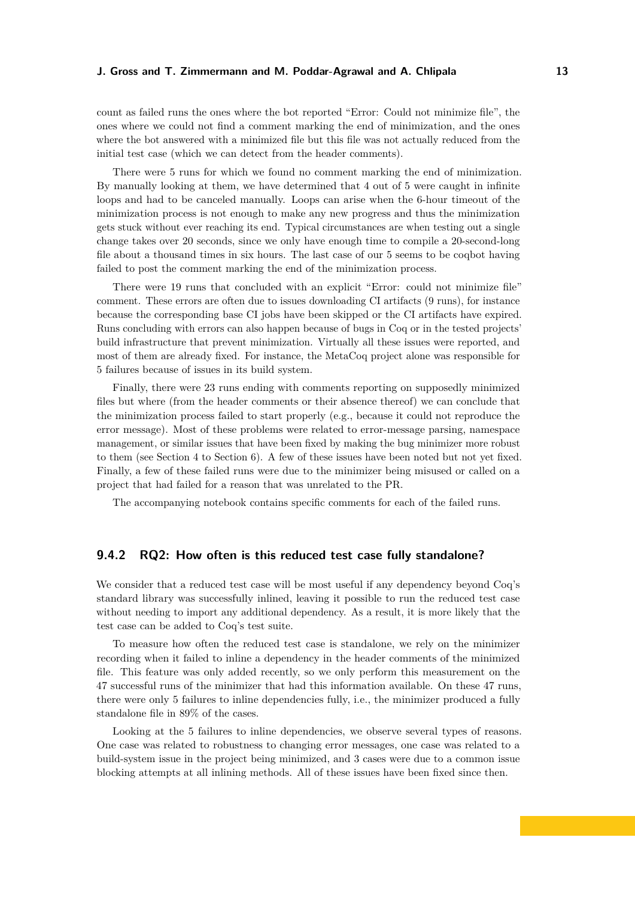count as failed runs the ones where the bot reported "Error: Could not minimize file", the ones where we could not find a comment marking the end of minimization, and the ones where the bot answered with a minimized file but this file was not actually reduced from the initial test case (which we can detect from the header comments).

There were 5 runs for which we found no comment marking the end of minimization. By manually looking at them, we have determined that 4 out of 5 were caught in infinite loops and had to be canceled manually. Loops can arise when the 6-hour timeout of the minimization process is not enough to make any new progress and thus the minimization gets stuck without ever reaching its end. Typical circumstances are when testing out a single change takes over 20 seconds, since we only have enough time to compile a 20-second-long file about a thousand times in six hours. The last case of our 5 seems to be coqbot having failed to post the comment marking the end of the minimization process.

There were 19 runs that concluded with an explicit "Error: could not minimize file" comment. These errors are often due to issues downloading CI artifacts (9 runs), for instance because the corresponding base CI jobs have been skipped or the CI artifacts have expired. Runs concluding with errors can also happen because of bugs in Coq or in the tested projects' build infrastructure that prevent minimization. Virtually all these issues were reported, and most of them are already fixed. For instance, the MetaCoq project alone was responsible for 5 failures because of issues in its build system.

Finally, there were 23 runs ending with comments reporting on supposedly minimized files but where (from the header comments or their absence thereof) we can conclude that the minimization process failed to start properly (e.g., because it could not reproduce the error message). Most of these problems were related to error-message parsing, namespace management, or similar issues that have been fixed by making the bug minimizer more robust to them (see [Section 4](#page-3-1) to [Section 6\)](#page-6-0). A few of these issues have been noted but not yet fixed. Finally, a few of these failed runs were due to the minimizer being misused or called on a project that had failed for a reason that was unrelated to the PR.

The accompanying notebook contains specific comments for each of the failed runs.

## **9.4.2 RQ2: How often is this reduced test case fully standalone?**

We consider that a reduced test case will be most useful if any dependency beyond Coq's standard library was successfully inlined, leaving it possible to run the reduced test case without needing to import any additional dependency. As a result, it is more likely that the test case can be added to Coq's test suite.

To measure how often the reduced test case is standalone, we rely on the minimizer recording when it failed to inline a dependency in the header comments of the minimized file. This feature was only added recently, so we only perform this measurement on the 47 successful runs of the minimizer that had this information available. On these 47 runs, there were only 5 failures to inline dependencies fully, i.e., the minimizer produced a fully standalone file in 89% of the cases.

Looking at the 5 failures to inline dependencies, we observe several types of reasons. One case was related to robustness to changing error messages, one case was related to a build-system issue in the project being minimized, and 3 cases were due to a common issue blocking attempts at all inlining methods. All of these issues have been fixed since then.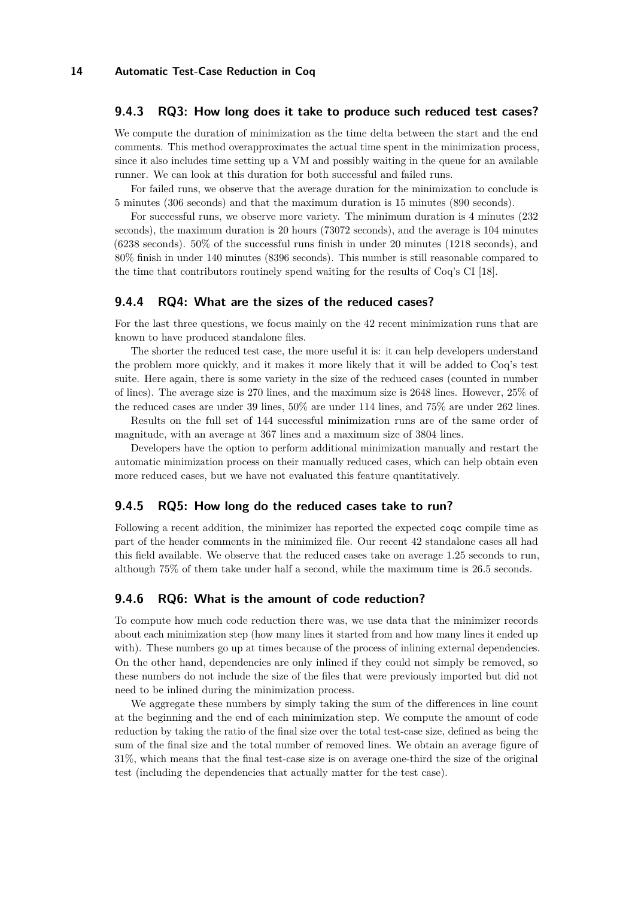## **9.4.3 RQ3: How long does it take to produce such reduced test cases?**

We compute the duration of minimization as the time delta between the start and the end comments. This method overapproximates the actual time spent in the minimization process, since it also includes time setting up a VM and possibly waiting in the queue for an available runner. We can look at this duration for both successful and failed runs.

For failed runs, we observe that the average duration for the minimization to conclude is 5 minutes (306 seconds) and that the maximum duration is 15 minutes (890 seconds).

For successful runs, we observe more variety. The minimum duration is 4 minutes (232 seconds), the maximum duration is 20 hours (73072 seconds), and the average is 104 minutes (6238 seconds). 50% of the successful runs finish in under 20 minutes (1218 seconds), and 80% finish in under 140 minutes (8396 seconds). This number is still reasonable compared to the time that contributors routinely spend waiting for the results of Coq's CI [\[18\]](#page-17-1).

#### **9.4.4 RQ4: What are the sizes of the reduced cases?**

For the last three questions, we focus mainly on the 42 recent minimization runs that are known to have produced standalone files.

The shorter the reduced test case, the more useful it is: it can help developers understand the problem more quickly, and it makes it more likely that it will be added to Coq's test suite. Here again, there is some variety in the size of the reduced cases (counted in number of lines). The average size is 270 lines, and the maximum size is 2648 lines. However, 25% of the reduced cases are under 39 lines, 50% are under 114 lines, and 75% are under 262 lines.

Results on the full set of 144 successful minimization runs are of the same order of magnitude, with an average at 367 lines and a maximum size of 3804 lines.

Developers have the option to perform additional minimization manually and restart the automatic minimization process on their manually reduced cases, which can help obtain even more reduced cases, but we have not evaluated this feature quantitatively.

#### **9.4.5 RQ5: How long do the reduced cases take to run?**

Following a recent addition, the minimizer has reported the expected coqc compile time as part of the header comments in the minimized file. Our recent 42 standalone cases all had this field available. We observe that the reduced cases take on average 1.25 seconds to run, although 75% of them take under half a second, while the maximum time is 26.5 seconds.

## **9.4.6 RQ6: What is the amount of code reduction?**

To compute how much code reduction there was, we use data that the minimizer records about each minimization step (how many lines it started from and how many lines it ended up with). These numbers go up at times because of the process of inlining external dependencies. On the other hand, dependencies are only inlined if they could not simply be removed, so these numbers do not include the size of the files that were previously imported but did not need to be inlined during the minimization process.

We aggregate these numbers by simply taking the sum of the differences in line count at the beginning and the end of each minimization step. We compute the amount of code reduction by taking the ratio of the final size over the total test-case size, defined as being the sum of the final size and the total number of removed lines. We obtain an average figure of 31%, which means that the final test-case size is on average one-third the size of the original test (including the dependencies that actually matter for the test case).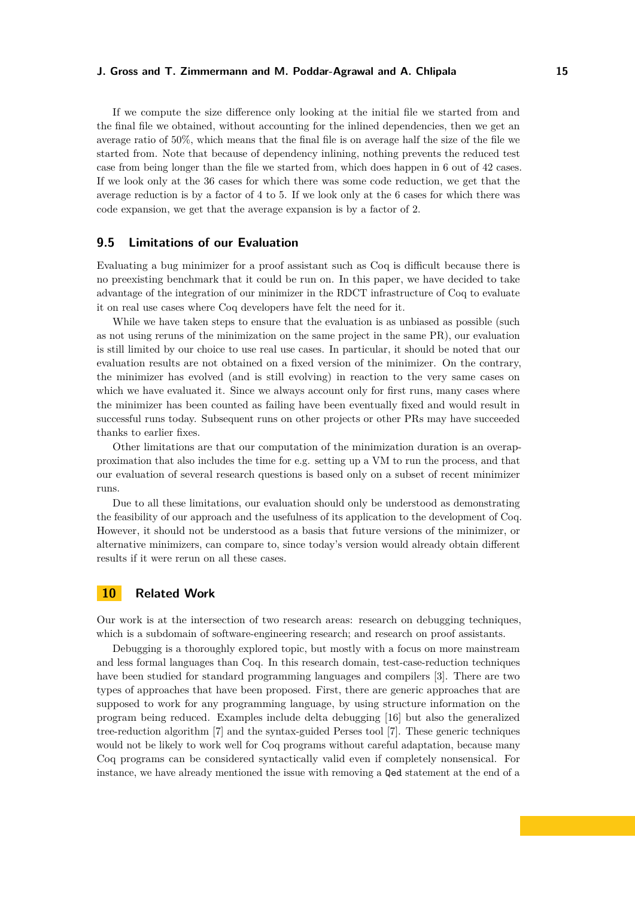If we compute the size difference only looking at the initial file we started from and the final file we obtained, without accounting for the inlined dependencies, then we get an average ratio of 50%, which means that the final file is on average half the size of the file we started from. Note that because of dependency inlining, nothing prevents the reduced test case from being longer than the file we started from, which does happen in 6 out of 42 cases. If we look only at the 36 cases for which there was some code reduction, we get that the average reduction is by a factor of 4 to 5. If we look only at the 6 cases for which there was code expansion, we get that the average expansion is by a factor of 2.

## **9.5 Limitations of our Evaluation**

Evaluating a bug minimizer for a proof assistant such as Coq is difficult because there is no preexisting benchmark that it could be run on. In this paper, we have decided to take advantage of the integration of our minimizer in the RDCT infrastructure of Coq to evaluate it on real use cases where Coq developers have felt the need for it.

While we have taken steps to ensure that the evaluation is as unbiased as possible (such as not using reruns of the minimization on the same project in the same PR), our evaluation is still limited by our choice to use real use cases. In particular, it should be noted that our evaluation results are not obtained on a fixed version of the minimizer. On the contrary, the minimizer has evolved (and is still evolving) in reaction to the very same cases on which we have evaluated it. Since we always account only for first runs, many cases where the minimizer has been counted as failing have been eventually fixed and would result in successful runs today. Subsequent runs on other projects or other PRs may have succeeded thanks to earlier fixes.

Other limitations are that our computation of the minimization duration is an overapproximation that also includes the time for e.g. setting up a VM to run the process, and that our evaluation of several research questions is based only on a subset of recent minimizer runs.

Due to all these limitations, our evaluation should only be understood as demonstrating the feasibility of our approach and the usefulness of its application to the development of Coq. However, it should not be understood as a basis that future versions of the minimizer, or alternative minimizers, can compare to, since today's version would already obtain different results if it were rerun on all these cases.

# <span id="page-14-0"></span>**10 Related Work**

Our work is at the intersection of two research areas: research on debugging techniques, which is a subdomain of software-engineering research; and research on proof assistants.

Debugging is a thoroughly explored topic, but mostly with a focus on more mainstream and less formal languages than Coq. In this research domain, test-case-reduction techniques have been studied for standard programming languages and compilers [\[3\]](#page-16-2). There are two types of approaches that have been proposed. First, there are generic approaches that are supposed to work for any programming language, by using structure information on the program being reduced. Examples include delta debugging [\[16\]](#page-17-5) but also the generalized tree-reduction algorithm [\[7\]](#page-16-5) and the syntax-guided Perses tool [\[7\]](#page-16-5). These generic techniques would not be likely to work well for Coq programs without careful adaptation, because many Coq programs can be considered syntactically valid even if completely nonsensical. For instance, we have already mentioned the issue with removing a Qed statement at the end of a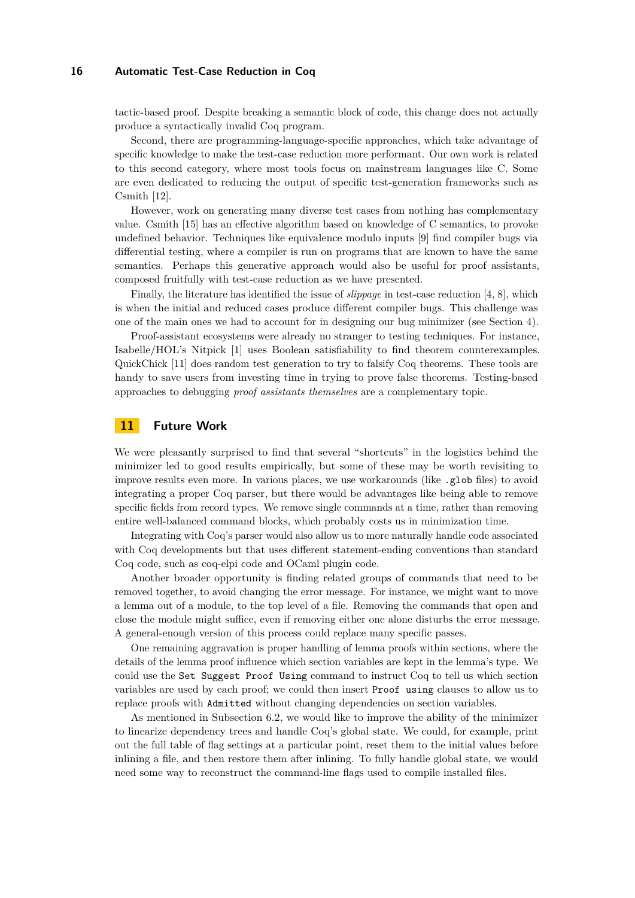tactic-based proof. Despite breaking a semantic block of code, this change does not actually produce a syntactically invalid Coq program.

Second, there are programming-language-specific approaches, which take advantage of specific knowledge to make the test-case reduction more performant. Our own work is related to this second category, where most tools focus on mainstream languages like C. Some are even dedicated to reducing the output of specific test-generation frameworks such as Csmith [\[12\]](#page-16-6).

However, work on generating many diverse test cases from nothing has complementary value. Csmith [\[15\]](#page-17-6) has an effective algorithm based on knowledge of C semantics, to provoke undefined behavior. Techniques like equivalence modulo inputs [\[9\]](#page-16-7) find compiler bugs via differential testing, where a compiler is run on programs that are known to have the same semantics. Perhaps this generative approach would also be useful for proof assistants, composed fruitfully with test-case reduction as we have presented.

Finally, the literature has identified the issue of *slippage* in test-case reduction [\[4,](#page-16-8) [8\]](#page-16-9), which is when the initial and reduced cases produce different compiler bugs. This challenge was one of the main ones we had to account for in designing our bug minimizer (see [Section 4\)](#page-3-1).

Proof-assistant ecosystems were already no stranger to testing techniques. For instance, Isabelle/HOL's Nitpick [\[1\]](#page-16-10) uses Boolean satisfiability to find theorem counterexamples. QuickChick [\[11\]](#page-16-11) does random test generation to try to falsify Coq theorems. These tools are handy to save users from investing time in trying to prove false theorems. Testing-based approaches to debugging *proof assistants themselves* are a complementary topic.

# <span id="page-15-0"></span>**11 Future Work**

We were pleasantly surprised to find that several "shortcuts" in the logistics behind the minimizer led to good results empirically, but some of these may be worth revisiting to improve results even more. In various places, we use workarounds (like .glob files) to avoid integrating a proper Coq parser, but there would be advantages like being able to remove specific fields from record types. We remove single commands at a time, rather than removing entire well-balanced command blocks, which probably costs us in minimization time.

Integrating with Coq's parser would also allow us to more naturally handle code associated with Coq developments but that uses different statement-ending conventions than standard Coq code, such as coq-elpi code and OCaml plugin code.

Another broader opportunity is finding related groups of commands that need to be removed together, to avoid changing the error message. For instance, we might want to move a lemma out of a module, to the top level of a file. Removing the commands that open and close the module might suffice, even if removing either one alone disturbs the error message. A general-enough version of this process could replace many specific passes.

One remaining aggravation is proper handling of lemma proofs within sections, where the details of the lemma proof influence which section variables are kept in the lemma's type. We could use the Set Suggest Proof Using command to instruct Coq to tell us which section variables are used by each proof; we could then insert Proof using clauses to allow us to replace proofs with Admitted without changing dependencies on section variables.

As mentioned in [Subsection 6.2,](#page-8-4) we would like to improve the ability of the minimizer to linearize dependency trees and handle Coq's global state. We could, for example, print out the full table of flag settings at a particular point, reset them to the initial values before inlining a file, and then restore them after inlining. To fully handle global state, we would need some way to reconstruct the command-line flags used to compile installed files.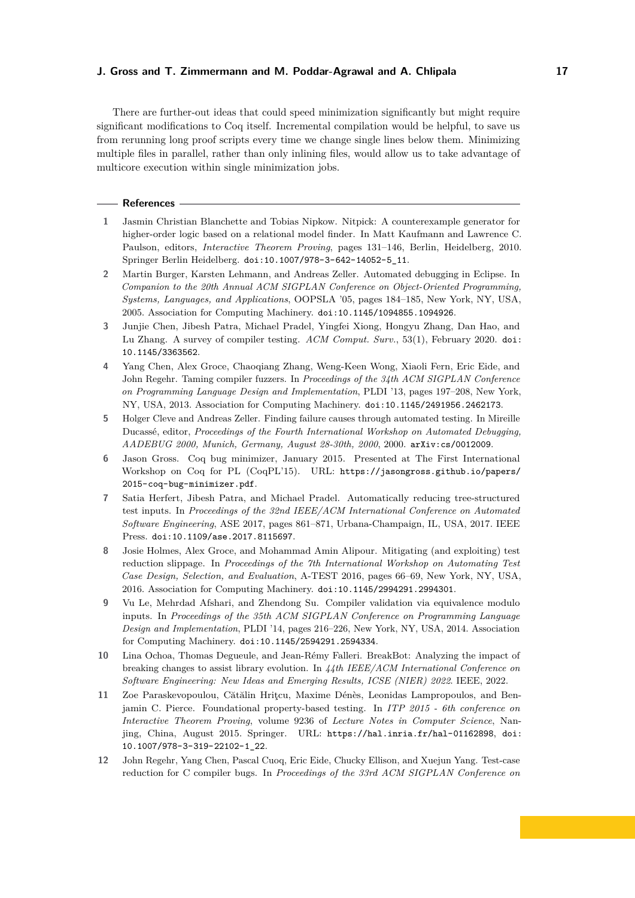There are further-out ideas that could speed minimization significantly but might require significant modifications to Coq itself. Incremental compilation would be helpful, to save us from rerunning long proof scripts every time we change single lines below them. Minimizing multiple files in parallel, rather than only inlining files, would allow us to take advantage of multicore execution within single minimization jobs.

#### **References**

- <span id="page-16-10"></span>**1** Jasmin Christian Blanchette and Tobias Nipkow. Nitpick: A counterexample generator for higher-order logic based on a relational model finder. In Matt Kaufmann and Lawrence C. Paulson, editors, *Interactive Theorem Proving*, pages 131–146, Berlin, Heidelberg, 2010. Springer Berlin Heidelberg. [doi:10.1007/978-3-642-14052-5\\_11](https://doi.org/10.1007/978-3-642-14052-5_11).
- <span id="page-16-4"></span>**2** Martin Burger, Karsten Lehmann, and Andreas Zeller. Automated debugging in Eclipse. In *Companion to the 20th Annual ACM SIGPLAN Conference on Object-Oriented Programming, Systems, Languages, and Applications*, OOPSLA '05, pages 184–185, New York, NY, USA, 2005. Association for Computing Machinery. [doi:10.1145/1094855.1094926](https://doi.org/10.1145/1094855.1094926).
- <span id="page-16-2"></span>**3** Junjie Chen, Jibesh Patra, Michael Pradel, Yingfei Xiong, Hongyu Zhang, Dan Hao, and Lu Zhang. A survey of compiler testing. *ACM Comput. Surv.*, 53(1), February 2020. [doi:](https://doi.org/10.1145/3363562) [10.1145/3363562](https://doi.org/10.1145/3363562).
- <span id="page-16-8"></span>**4** Yang Chen, Alex Groce, Chaoqiang Zhang, Weng-Keen Wong, Xiaoli Fern, Eric Eide, and John Regehr. Taming compiler fuzzers. In *Proceedings of the 34th ACM SIGPLAN Conference on Programming Language Design and Implementation*, PLDI '13, pages 197–208, New York, NY, USA, 2013. Association for Computing Machinery. [doi:10.1145/2491956.2462173](https://doi.org/10.1145/2491956.2462173).
- <span id="page-16-3"></span>**5** Holger Cleve and Andreas Zeller. Finding failure causes through automated testing. In Mireille Ducassé, editor, *Proceedings of the Fourth International Workshop on Automated Debugging, AADEBUG 2000, Munich, Germany, August 28-30th, 2000*, 2000. [arXiv:cs/0012009](http://arxiv.org/abs/cs/0012009).
- <span id="page-16-0"></span>**6** Jason Gross. Coq bug minimizer, January 2015. Presented at [The First International](https://coqpl.cs.washington.edu/2014/07/31/) [Workshop on Coq for PL \(CoqPL'15\).](https://coqpl.cs.washington.edu/2014/07/31/) URL: [https://jasongross.github.io/papers/](https://jasongross.github.io/papers/2015-coq-bug-minimizer.pdf) [2015-coq-bug-minimizer.pdf](https://jasongross.github.io/papers/2015-coq-bug-minimizer.pdf).
- <span id="page-16-5"></span>**7** Satia Herfert, Jibesh Patra, and Michael Pradel. Automatically reducing tree-structured test inputs. In *Proceedings of the 32nd IEEE/ACM International Conference on Automated Software Engineering*, ASE 2017, pages 861–871, Urbana-Champaign, IL, USA, 2017. IEEE Press. [doi:10.1109/ase.2017.8115697](https://doi.org/10.1109/ase.2017.8115697).
- <span id="page-16-9"></span>**8** Josie Holmes, Alex Groce, and Mohammad Amin Alipour. Mitigating (and exploiting) test reduction slippage. In *Proceedings of the 7th International Workshop on Automating Test Case Design, Selection, and Evaluation*, A-TEST 2016, pages 66–69, New York, NY, USA, 2016. Association for Computing Machinery. [doi:10.1145/2994291.2994301](https://doi.org/10.1145/2994291.2994301).
- <span id="page-16-7"></span>**9** Vu Le, Mehrdad Afshari, and Zhendong Su. Compiler validation via equivalence modulo inputs. In *Proceedings of the 35th ACM SIGPLAN Conference on Programming Language Design and Implementation*, PLDI '14, pages 216–226, New York, NY, USA, 2014. Association for Computing Machinery. [doi:10.1145/2594291.2594334](https://doi.org/10.1145/2594291.2594334).
- <span id="page-16-1"></span>**10** Lina Ochoa, Thomas Degueule, and Jean-Rémy Falleri. BreakBot: Analyzing the impact of breaking changes to assist library evolution. In *44th IEEE/ACM International Conference on Software Engineering: New Ideas and Emerging Results, ICSE (NIER) 2022*. IEEE, 2022.
- <span id="page-16-11"></span>11 Zoe Paraskevopoulou, Cătălin Hritcu, Maxime Dénès, Leonidas Lampropoulos, and Benjamin C. Pierce. Foundational property-based testing. In *ITP 2015 - 6th conference on Interactive Theorem Proving*, volume 9236 of *Lecture Notes in Computer Science*, Nanjing, China, August 2015. Springer. URL: <https://hal.inria.fr/hal-01162898>, [doi:](https://doi.org/10.1007/978-3-319-22102-1_22) [10.1007/978-3-319-22102-1\\_22](https://doi.org/10.1007/978-3-319-22102-1_22).
- <span id="page-16-6"></span>**12** John Regehr, Yang Chen, Pascal Cuoq, Eric Eide, Chucky Ellison, and Xuejun Yang. Test-case reduction for C compiler bugs. In *Proceedings of the 33rd ACM SIGPLAN Conference on*